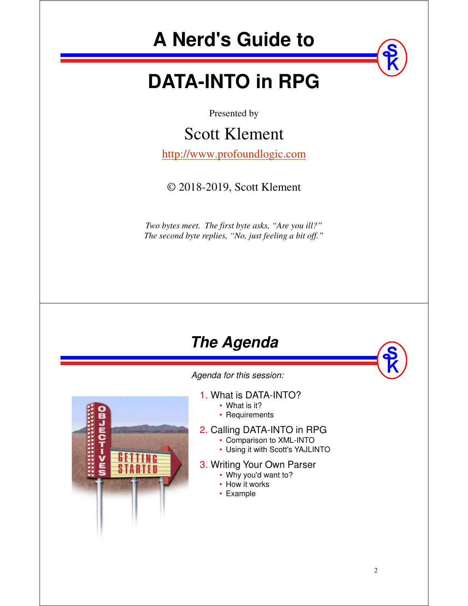# **A Nerd's Guide to**

# **DATA-INTO in RPG**

Presented by

#### Scott Klement

http://www.profoundlogic.com

#### © 2018-2019, Scott Klement

*Two bytes meet. The first byte asks, "Are you ill?" The second byte replies, "No, just feeling a bit off."*

## **The Agenda**

*Agenda for this session:*

1. What is DATA-INTO?

- What is it?
- Requirements

#### 2. Calling DATA-INTO in RPG

- Comparison to XML-INTO
- Using it with Scott's YAJLINTO

#### 3. Writing Your Own Parser

- Why you'd want to?
- How it works
- Example

**SM4-10m4B**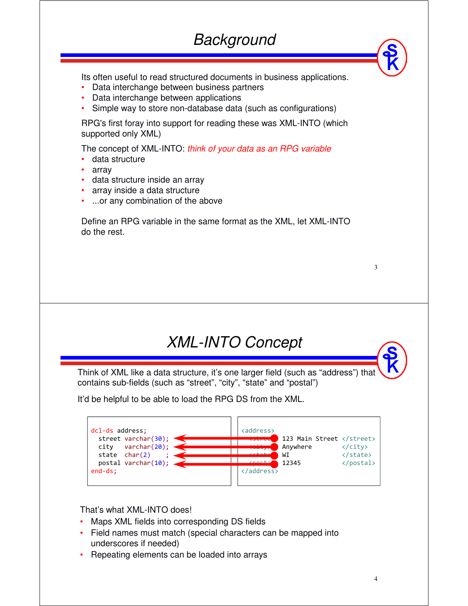Its often useful to read structured documents in business applications.

- Data interchange between business partners
- •Data interchange between applications
- •Simple way to store non-database data (such as configurations)

RPG's first foray into support for reading these was XML-INTO (which supported only XML)

The concept of XML-INTO: *think of your data as an RPG variable* 

- •data structure
- •array
- data structure inside an array
- •array inside a data structure
- ...or any combination of the above

Define an RPG variable in the same format as the XML, let XML-INTO do the rest.

| ٠<br>٦      |
|-------------|
|             |
| I<br>I<br>× |
|             |

#### *XML-INTO Concept*

Think of XML like a data structure, it's one larger field (such as "address") that contains sub-fields (such as "street", "city", "state" and "postal")

It'd be helpful to be able to load the RPG DS from the XML.



#### That's what XML-INTO does!

- Maps XML fields into corresponding DS fields
- Field names must match (special characters can be mapped into underscores if needed)
- Repeating elements can be loaded into arrays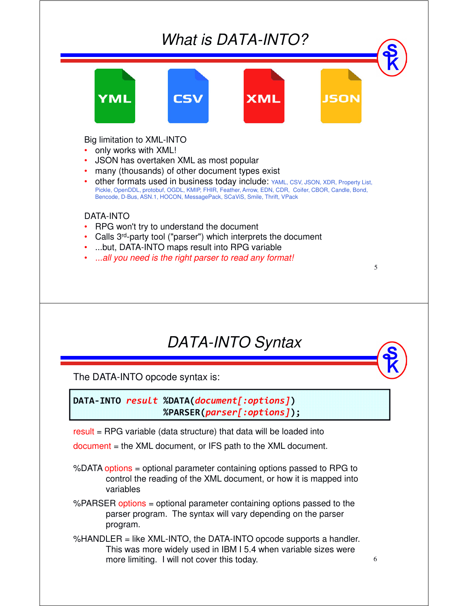



Big limitation to XML-INTO

- •only works with XML!
- •JSON has overtaken XML as most popular
- •many (thousands) of other document types exist
- • other formats used in business today include: YAML, CSV, JSON, XDR, Property List, Pickle, OpenDDL, protobuf, OGDL, KMIP, FHIR, Feather, Arrow, EDN, CDR, Coifer, CBOR, Candle, Bond, Bencode, D-Bus, ASN.1, HOCON, MessagePack, SCaViS, Smile, Thrift, VPack

#### DATA-INTO

- •RPG won't try to understand the document
- •• Calls 3<sup>rd</sup>-party tool ("parser") which interprets the document
- •...but, DATA-INTO maps result into RPG variable
- •*...all you need is the right parser to read any format!*

## *DATA-INTO Syntax*

5

6

The DATA-INTO opcode syntax is:

**DATA-INTO** *result* **%DATA(***document[:options]***) %PARSER(***parser[:options]***);**

result = RPG variable (data structure) that data will be loaded into

document = the XML document, or IFS path to the XML document.

- %DATA options = optional parameter containing options passed to RPG to control the reading of the XML document, or how it is mapped into variables
- %PARSER options = optional parameter containing options passed to the parser program. The syntax will vary depending on the parser program.
- %HANDLER = like XML-INTO, the DATA-INTO opcode supports a handler. This was more widely used in IBM I 5.4 when variable sizes were more limiting. I will not cover this today.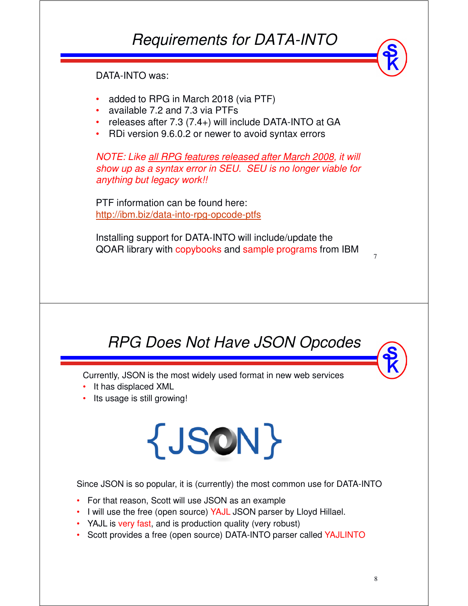## *Requirements for DATA-INTO*

DATA-INTO was:

- •added to RPG in March 2018 (via PTF)
- •available 7.2 and 7.3 via PTFs
- •releases after 7.3 (7.4+) will include DATA-INTO at GA
- •RDi version 9.6.0.2 or newer to avoid syntax errors

*NOTE: Like all RPG features released after March 2008, it will show up as a syntax error in SEU. SEU is no longer viable for anything but legacy work!!* 

PTF information can be found here: http://ibm.biz/data-into-rpg-opcode-ptfs

Installing support for DATA-INTO will include/update the QOAR library with copybooks and sample programs from IBM

*RPG Does Not Have JSON Opcodes*

Currently, JSON is the most widely used format in new web services

- It has displaced XML
- Its usage is still growing!

# {JSON}

Since JSON is so popular, it is (currently) the most common use for DATA-INTO

- For that reason, Scott will use JSON as an example
- I will use the free (open source) YAJL JSON parser by Lloyd Hillael.
- YAJL is very fast, and is production quality (very robust)
- Scott provides a free (open source) DATA-INTO parser called YAJLINTO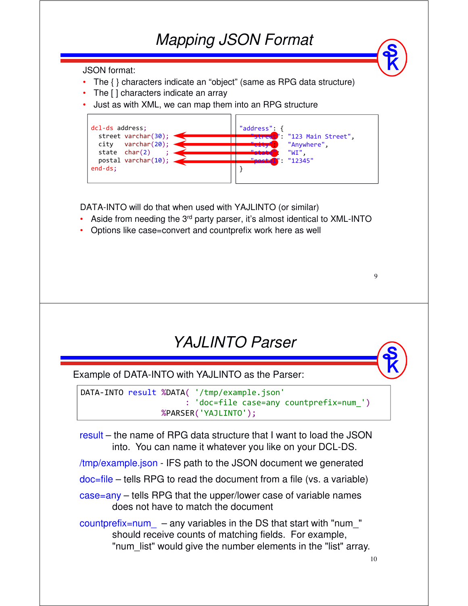#### *Mapping JSON Format*

JSON format:

- The { } characters indicate an "object" (same as RPG data structure)
- The [ ] characters indicate an array
- Just as with XML, we can map them into an RPG structure

| $dcl-ds$ address;                                       | "address": {                                        |
|---------------------------------------------------------|-----------------------------------------------------|
| street varchar(30);<br>varchar(20);<br>city             | "street": "123 Main Street",<br>"Anywhere",<br>"WI" |
| state $char(2)$<br>postal varchar $(10);$<br>$end-ds$ : | : "12345"                                           |
|                                                         |                                                     |

DATA-INTO will do that when used with YAJLINTO (or similar)

- •• Aside from needing the 3<sup>rd</sup> party parser, it's almost identical to XML-INTO
- Options like case=convert and countprefix work here as well

*YAJLINTO Parser*

Example of DATA-INTO with YAJLINTO as the Parser:

```
DATA-INTO result %DATA( '/tmp/example.json'
                      : 'doc=file case=any countprefix=num_')
                 %PARSER('YAJLINTO');
```
result – the name of RPG data structure that I want to load the JSON into. You can name it whatever you like on your DCL-DS.

/tmp/example.json - IFS path to the JSON document we generated

doc=file – tells RPG to read the document from a file (vs. a variable)

case=any – tells RPG that the upper/lower case of variable names does not have to match the document

 $countprefix = num$  – any variables in the DS that start with "num  $"$ should receive counts of matching fields. For example, "num\_list" would give the number elements in the "list" array.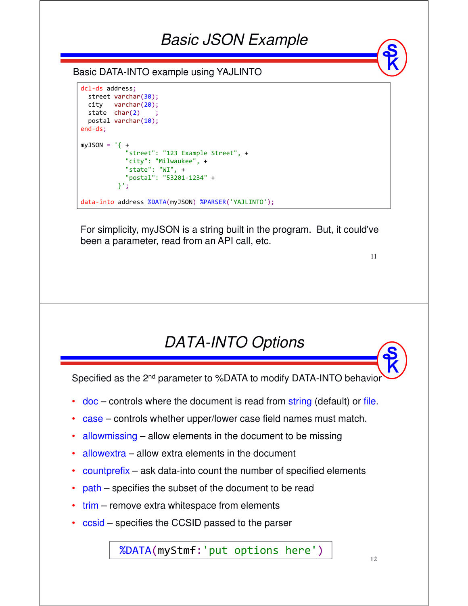#### *Basic JSON Example*

#### Basic DATA-INTO example using YAJLINTO

```
dcl-ds address;
 street varchar(30);
 city varchar(20);
 state char(2)postal varchar(10);
end-ds;
myJSON = 'f +"street": "123 Example Street", +
           "city": "Milwaukee", +
           "state": "WI", +
            "postal": "53201-1234" +
         }';
data-into address %DATA(myJSON) %PARSER('YAJLINTO');
```
For simplicity, myJSON is a string built in the program. But, it could've been a parameter, read from an API call, etc.

11

## *DATA-INTO Options*

Specified as the 2<sup>nd</sup> parameter to %DATA to modify DATA-INTO behavior

- •doc – controls where the document is read from string (default) or file.
- •case – controls whether upper/lower case field names must match.
- •allowmissing – allow elements in the document to be missing
- •allowextra – allow extra elements in the document
- •countprefix – ask data-into count the number of specified elements
- •path – specifies the subset of the document to be read
- trim remove extra whitespace from elements
- ccsid specifies the CCSID passed to the parser

%DATA(myStmf:'put options here')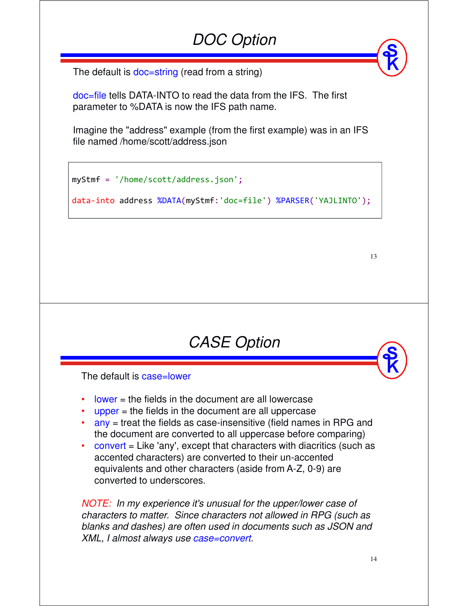# *DOC Option*

The default is doc=string (read from a string)

doc=file tells DATA-INTO to read the data from the IFS. The first parameter to %DATA is now the IFS path name.

Imagine the "address" example (from the first example) was in an IFS file named /home/scott/address.json

```
myStmf = '/home/scott/address.json';
```
data-into address %DATA(myStmf:'doc=file') %PARSER('YAJLINTO');

13

The default is case=lower

- • $lower = the fields in the document are all lowercase$
- • $u$  upper = the fields in the document are all uppercase
- any = treat the fields as case-insensitive (field names in RPG and the document are converted to all uppercase before comparing)

*CASE Option*

• convert = Like 'any', except that characters with diacritics (such as accented characters) are converted to their un-accented equivalents and other characters (aside from A-Z, 0-9) are converted to underscores.

*NOTE: In my experience it's unusual for the upper/lower case of characters to matter. Since characters not allowed in RPG (such as blanks and dashes) are often used in documents such as JSON and XML, I almost always use case=convert.*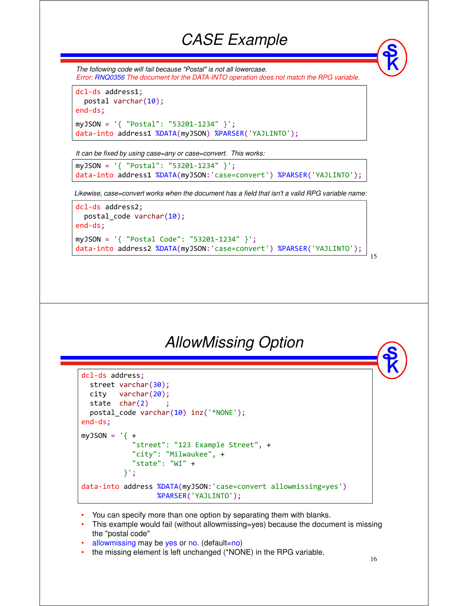#### *CASE Example*

*The following code will fail because "Postal" is not all lowercase. Error: RNQ0356 The document for the DATA-INTO operation does not match the RPG variable.*

```
dcl-ds address1;
  postal varchar(10);
end-ds;
myJSON = '{ "Postal": "53201-1234" }';
data-into address1 %DATA(myJSON) %PARSER('YAJLINTO');
```
*It can be fixed by using case=any or case=convert. This works:*

```
myJSON = '{ "Postal": "53201-1234" }';
data-into address1 %DATA(myJSON:'case=convert') %PARSER('YAJLINTO');
```
*Likewise, case=convert works when the document has a field that isn't a valid RPG variable name:*

```
dcl-ds address2;
  postal_code varchar(10);
end-ds;
myJSON = '{ "Postal Code": "53201-1234" }';
data-into address2 %DATA(myJSON:'case=convert') %PARSER('YAJLINTO');
```
#### *AllowMissing Option*

```
dcl-ds address;
  street varchar(30);
 city varchar(20);
  state char(2)postal_code varchar(10) inz('*NONE');
end-ds;
myJSON = '{ +
            "street": "123 Example Street", +
            "city": "Milwaukee", +
            "state": "WI" +
          }';
data-into address %DATA(myJSON:'case=convert allowmissing=yes')
                  %PARSER('YAJLINTO');
```
- You can specify more than one option by separating them with blanks.
- This example would fail (without allowmissing=yes) because the document is missing the "postal code"
- allowmissing may be yes or no. (default=no)
- the missing element is left unchanged (\*NONE) in the RPG variable.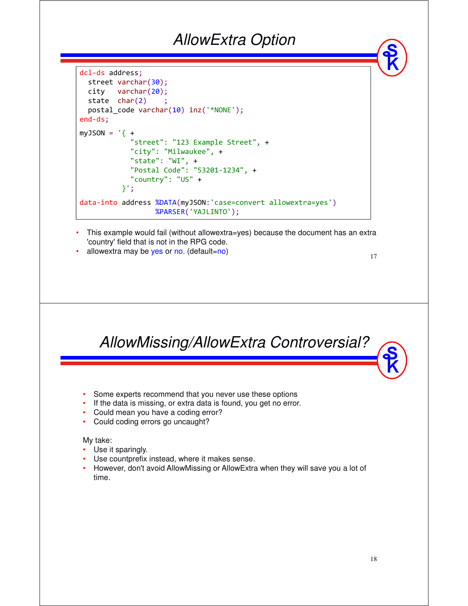#### *AllowExtra Option*

```
dcl-ds address;
 street varchar(30);
 city varchar(20);
 state char(2)postal_code varchar(10) inz('*NONE');
end-ds;
myJSON = '{} +"street": "123 Example Street", +
            "city": "Milwaukee", +
            "state": "WI", +
            "Postal Code": "53201-1234", +
            "country": "US" +
          }';
data-into address %DATA(myJSON:'case=convert allowextra=yes')
                  %PARSER('YAJLINTO');
```
- • This example would fail (without allowextra=yes) because the document has an extra 'country' field that is not in the RPG code.
- •allowextra may be yes or no. (default=no)

17

*AllowMissing/AllowExtra Controversial?*

- Some experts recommend that you never use these options
- If the data is missing, or extra data is found, you get no error.
- Could mean you have a coding error?
- Could coding errors go uncaught?

#### My take:

- Use it sparingly.
- Use countprefix instead, where it makes sense.<br>
Usymptote dan't avaid Alley Missing or Alley Future
- However, don't avoid AllowMissing or AllowExtra when they will save you a lot of time.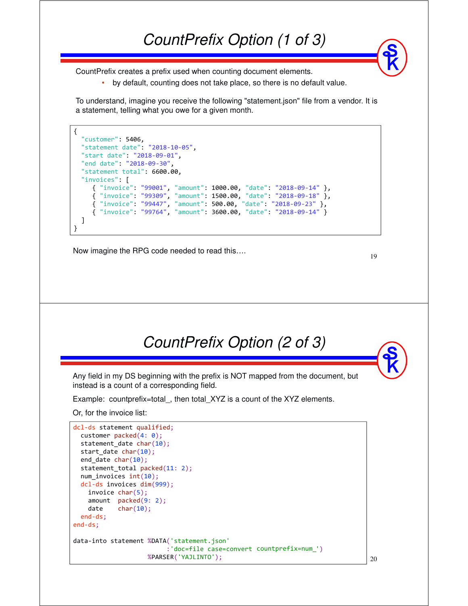CountPrefix creates a prefix used when counting document elements.

•by default, counting does not take place, so there is no default value.

To understand, imagine you receive the following "statement.json" file from a vendor. It is a statement, telling what you owe for a given month.

```
{
  "customer": 5406,
  "statement date": "2018-10-05",
  "start date": "2018-09-01",
 "end date": "2018-09-30",
  "statement total": 6600.00,
  "invoices": [
     { "invoice": "99001", "amount": 1000.00, "date": "2018-09-14" },
     { "invoice": "99309", "amount": 1500.00, "date": "2018-09-18" },
     { "invoice": "99447", "amount": 500.00, "date": "2018-09-23" },
     { "invoice": "99764", "amount": 3600.00, "date": "2018-09-14" }
  ]
}
```
Now imagine the RPG code needed to read this….

19

20



Any field in my DS beginning with the prefix is NOT mapped from the document, but instead is a count of a corresponding field.

Example: countprefix=total\_, then total\_XYZ is a count of the XYZ elements.

Or, for the invoice list:

```
dcl-ds statement qualified;
 customer packed(4: 0);
 statement_date char(10);
 start date char(10);
 end date char(10);
 statement total packed(11: 2);
 num_invoices int(10);
 dcl-ds invoices dim(999);
   invoice char(5);
   amount packed(9: 2);
   date char(10);
 end-ds;
end-ds;
data-into statement %DATA('statement.json'
                          :'doc=file case=convert countprefix=num_')
                    %PARSER('YAJLINTO');
```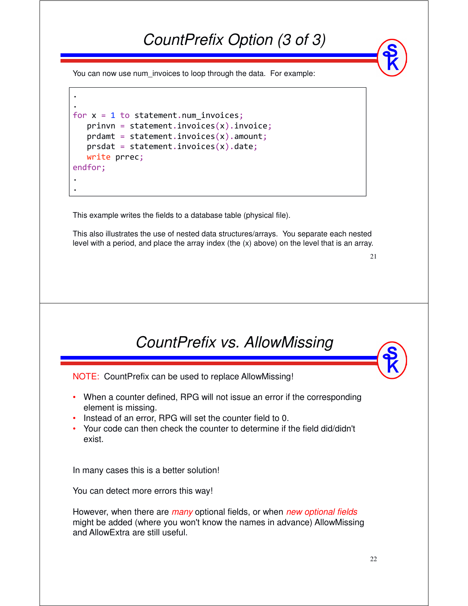## *CountPrefix Option (3 of 3)*

You can now use num invoices to loop through the data. For example:

```
.
for x = 1 to statement.num invoices;
   prinvn = statement.invoices(x).invoice;
   prdamt = statement.invoices(x).amount;
   prsdat = statement.invoices(x).date;write prrec;
endfor;
 .
```
.

.

This example writes the fields to a database table (physical file).

This also illustrates the use of nested data structures/arrays. You separate each nested level with a period, and place the array index (the (x) above) on the level that is an array.

21



NOTE: CountPrefix can be used to replace AllowMissing!

- When a counter defined, RPG will not issue an error if the corresponding element is missing.
- Instead of an error, RPG will set the counter field to 0.
- Your code can then check the counter to determine if the field did/didn't exist.

In many cases this is a better solution!

You can detect more errors this way!

However, when there are *many* optional fields, or when *new optional fields*  might be added (where you won't know the names in advance) AllowMissing and AllowExtra are still useful.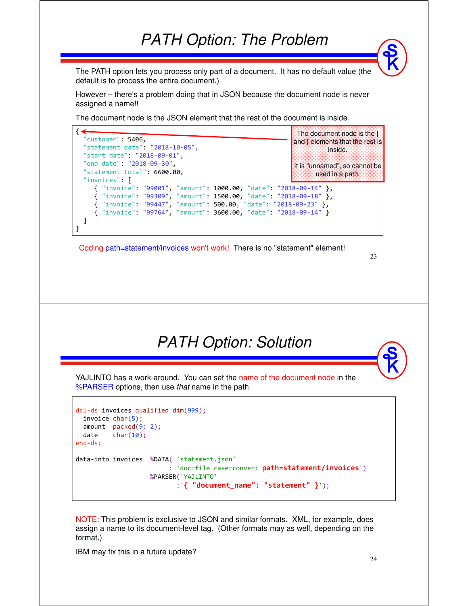#### *PATH Option: The Problem*

The PATH option lets you process only part of a document. It has no default value (the default is to process the entire document.)

However – there's a problem doing that in JSON because the document node is never assigned a name!!

The document node is the JSON element that the rest of the document is inside.



Coding path=statement/invoices won't work! There is no "statement" element!

#### 23

#### *PATH Option: Solution*

YAJLINTO has a work-around. You can set the name of the document node in the %PARSER options, then use *that* name in the path.

```
dcl-ds invoices qualified dim(999);
 invoice char(5);
 amount packed(9: 2);
 date char(10);
end-ds;
data-into invoices %DATA( 'statement.json'
                        : 'doc=file case=convert path=statement/invoices')
                   %PARSER('YAJLINTO'
                          :'{ "document_name": "statement" }');
```
NOTE: This problem is exclusive to JSON and similar formats. XML, for example, does assign a name to its document-level tag. (Other formats may as well, depending on the format.)

IBM may fix this in a future update?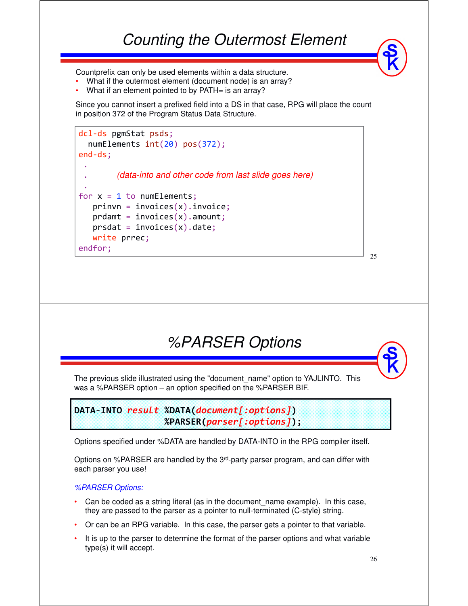Countprefix can only be used elements within a data structure.

- What if the outermost element (document node) is an array?
- •What if an element pointed to by PATH= is an array?

Since you cannot insert a prefixed field into a DS in that case, RPG will place the count in position 372 of the Program Status Data Structure.



*%PARSER Options*

The previous slide illustrated using the "document\_name" option to YAJLINTO. This was a %PARSER option – an option specified on the %PARSER BIF.

**DATA-INTO** *result* **%DATA(***document[:options]***) %PARSER(***parser[:options]***);**

Options specified under %DATA are handled by DATA-INTO in the RPG compiler itself.

Options on %PARSER are handled by the 3<sup>rd</sup>-party parser program, and can differ with each parser you use!

#### *%PARSER Options:*

- •Can be coded as a string literal (as in the document name example). In this case, they are passed to the parser as a pointer to null-terminated (C-style) string.
- •Or can be an RPG variable. In this case, the parser gets a pointer to that variable.
- • It is up to the parser to determine the format of the parser options and what variable type(s) it will accept.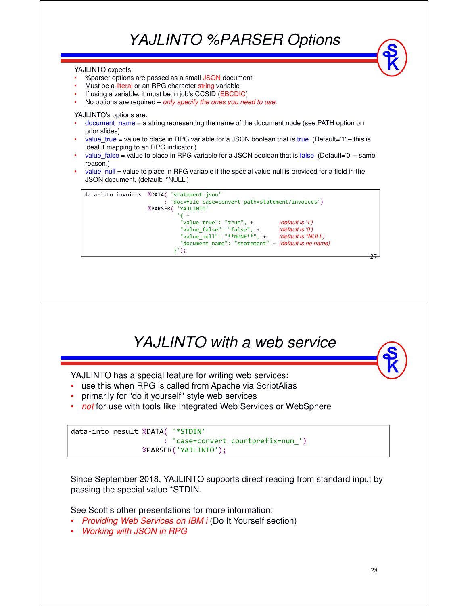# *YAJLINTO %PARSER Options*

YAJLINTO expects: •%parser options are passed as a small JSON document • Must be a literal or an RPG character string variable If using a variable, it must be in job's CCSID (EBCDIC)

•No options are required – *only specify the ones you need to use.*

YAJLINTO's options are:

- •document name = a string representing the name of the document node (see PATH option on prior slides)
- • value\_true = value to place in RPG variable for a JSON boolean that is true. (Default='1' – this is ideal if mapping to an RPG indicator.)
- •value false = value to place in RPG variable for a JSON boolean that is false. (Default='0' – same reason.)
- •value null = value to place in RPG variable if the special value null is provided for a field in the JSON document. (default: '\*NULL')





Since September 2018, YAJLINTO supports direct reading from standard input by passing the special value \*STDIN.

See Scott's other presentations for more information:

- •*Providing Web Services on IBM i* (Do It Yourself section)
- •*Working with JSON in RPG*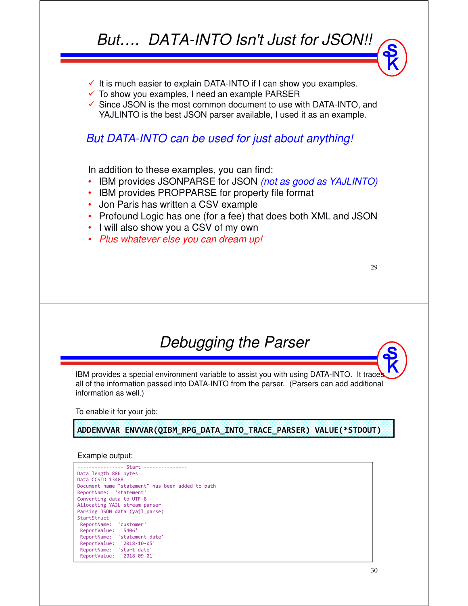### *But…. DATA-INTO Isn't Just for JSON!!*

- $\checkmark$  It is much easier to explain DATA-INTO if I can show you examples.
- $\checkmark$  To show you examples, I need an example PARSER
- $\checkmark$  Since JSON is the most common document to use with DATA-INTO, and YAJLINTO is the best JSON parser available, I used it as an example.

#### *But DATA-INTO can be used for just about anything!*

In addition to these examples, you can find:

- •IBM provides JSONPARSE for JSON *(not as good as YAJLINTO)*
- IBM provides PROPPARSE for property file format
- Jon Paris has written a CSV example
- Profound Logic has one (for a fee) that does both XML and JSON
- I will also show you a CSV of my own
- *Plus whatever else you can dream up!*

29

#### *Debugging the Parser*

IBM provides a special environment variable to assist you with using DATA-INTO. It traces all of the information passed into DATA-INTO from the parser. (Parsers can add additional information as well.)

To enable it for your job:

**ADDENVVAR ENVVAR(QIBM\_RPG\_DATA\_INTO\_TRACE\_PARSER) VALUE(\*STDOUT)**

#### Example output:

---------------- Start --------------- Data length 886 bytes Data CCSID 13488 Document name "statement" has been added to path ReportName: 'statement' Converting data to UTF-8 Allocating YAJL stream parser Parsing JSON data (yajl\_parse) StartStruct ReportName: 'customer' ReportValue: '5406' ReportName: 'statement date' ReportValue: '2018-10-05' ReportName: 'start date' ReportValue: '2018-09-01'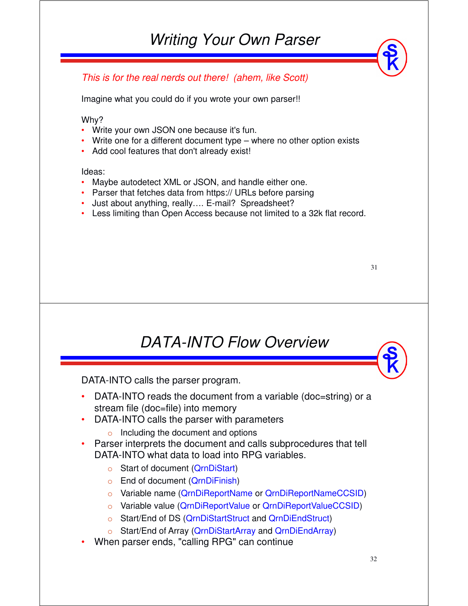#### *This is for the real nerds out there! (ahem, like Scott)*

Imagine what you could do if you wrote your own parser!!

Why?

- Write your own JSON one because it's fun.
- Write one for a different document type where no other option exists  $\sim$  Add asslitent use that dealt already exist.
- Add cool features that don't already exist!

Ideas:

- Maybe autodetect XML or JSON, and handle either one.
- Parser that fetches data from https:// URLs before parsing
- Just about anything, really.... E-mail? Spreadsheet?
- Less limiting than Open Access because not limited to a 32k flat record.

| I<br>v<br>× |
|-------------|
|-------------|

## *DATA-INTO Flow Overview*

DATA-INTO calls the parser program.

- DATA-INTO reads the document from a variable (doc=string) or a stream file (doc=file) into memory
- DATA-INTO calls the parser with parameters
	- o Including the document and options
- Parser interprets the document and calls subprocedures that tell<br>RATA INTO what data to lead into BBC variables DATA-INTO what data to load into RPG variables.
	- <sup>o</sup> Start of document (QrnDiStart)
	- <sup>o</sup> End of document (QrnDiFinish)
	- <sup>o</sup> Variable name (QrnDiReportName or QrnDiReportNameCCSID)
	- <sup>o</sup> Variable value (QrnDiReportValue or QrnDiReportValueCCSID)
	- <sup>o</sup> Start/End of DS (QrnDiStartStruct and QrnDiEndStruct)
	- <sup>o</sup> Start/End of Array (QrnDiStartArray and QrnDiEndArray)
- •When parser ends, "calling RPG" can continue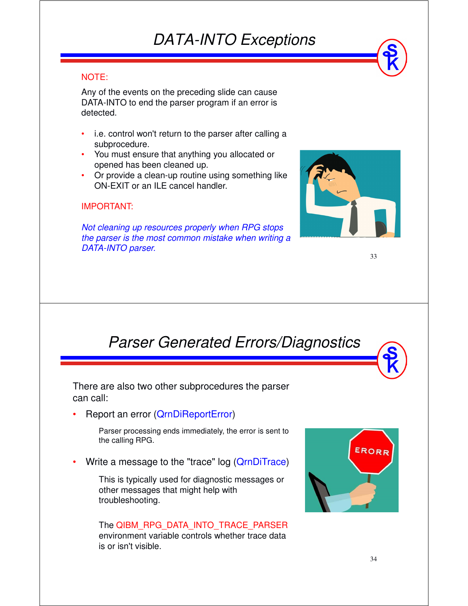## *DATA-INTO Exceptions*

#### NOTE:

Any of the events on the preceding slide can cause DATA-INTO to end the parser program if an error is detected.

- • i.e. control won't return to the parser after calling a subprocedure.
- You must ensure that anything you allocated or opened has been cleaned up.
- • Or provide a clean-up routine using something like ON-EXIT or an ILE cancel handler.

#### IMPORTANT:

*Not cleaning up resources properly when RPG stops the parser is the most common mistake when writing a DATA-INTO parser.*



33

#### *Parser Generated Errors/Diagnostics*

There are also two other subprocedures the parser can call:

•Report an error (QrnDiReportError)

> Parser processing ends immediately, the error is sent to the calling RPG.

•Write a message to the "trace" log (QrnDiTrace)

> This is typically used for diagnostic messages or other messages that might help with troubleshooting.

The QIBM\_RPG\_DATA\_INTO\_TRACE\_PARSER environment variable controls whether trace data is or isn't visible.

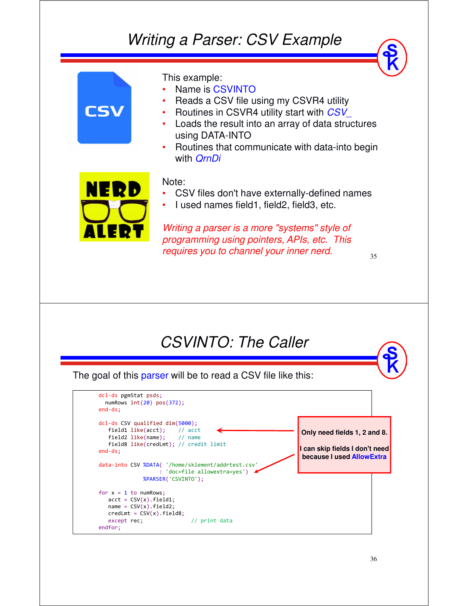## *Writing a Parser: CSV Example*



The goal of this parser will be to read a CSV file like this:

| dcl-ds pgmStat psds;<br>numRows $int(20)$ pos $(372)$ ;<br>$end-ds$ ;                                                                                                                                                                  |                              |                                                                                             |
|----------------------------------------------------------------------------------------------------------------------------------------------------------------------------------------------------------------------------------------|------------------------------|---------------------------------------------------------------------------------------------|
| $dcl-ds$ CSV qualified $dim(5000)$ ;<br>$field1 like(act);$ // $act$<br>field2 like(name); // name<br>field8 like(credLmt); // credit limit<br>$end-ds$ ;<br>data-into CSV %DATA( '/home/sklement/addrtest.csv'<br>%PARSER('CSVINTO'); | : 'doc=file allowextra=yes') | Only need fields 1, 2 and 8.<br>It can skip fields I don't need<br>because Lused AllowExtra |
| for $x = 1$ to numRows;<br>$acct = CSV(x)$ .field1;<br>$name = CSV(x)$ .field2;<br>$credit = CSV(x).field8;$<br>except rec;<br>endfor;                                                                                                 | // print data                |                                                                                             |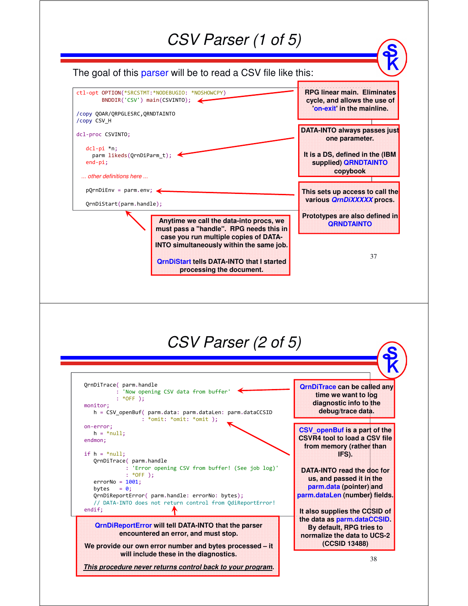#### *CSV Parser (1 of 5)*

The goal of this parser will be to read a CSV file like this:



**It also supplies the CCSID of the data as parm.dataCCSID. By default, RPG tries to normalize the data to UCS-2 (CCSID 13488)**

**We provide our own error number and bytes processed – it will include these in the diagnostics.**

**QrnDiReportError will tell DATA-INTO that the parser encountered an error, and must stop.** 

endif;

// DATA-INTO does not return control from QdiReportError!

**This procedure never returns control back to your program.**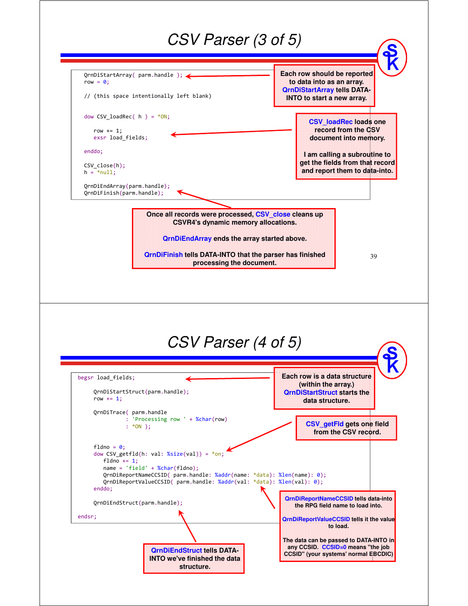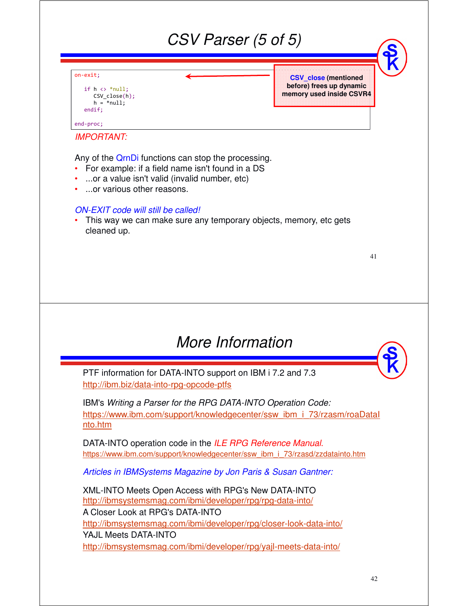|                                                                                                                                                                                                                                                                                                 | CSV Parser (5 of 5) |                                                                                     |    |
|-------------------------------------------------------------------------------------------------------------------------------------------------------------------------------------------------------------------------------------------------------------------------------------------------|---------------------|-------------------------------------------------------------------------------------|----|
| on-exit;<br>if $h \leftrightarrow *null;$<br>$CSV$ close $(h)$ ;<br>$h = *null;$<br>endif:                                                                                                                                                                                                      |                     | <b>CSV</b> close (mentioned<br>before) frees up dynamic<br>memory used inside CSVR4 |    |
| end-proc;<br><b>IMPORTANT:</b>                                                                                                                                                                                                                                                                  |                     |                                                                                     |    |
| Any of the QrnDi functions can stop the processing.<br>For example: if a field name isn't found in a DS<br>or a value isn't valid (invalid number, etc)<br>or various other reasons.<br>ON-EXIT code will still be called!<br>This way we can make sure any temporary objects, memory, etc gets |                     |                                                                                     |    |
| cleaned up.                                                                                                                                                                                                                                                                                     |                     |                                                                                     | 41 |
|                                                                                                                                                                                                                                                                                                 |                     |                                                                                     |    |
|                                                                                                                                                                                                                                                                                                 |                     |                                                                                     |    |
|                                                                                                                                                                                                                                                                                                 | More Information    |                                                                                     |    |
| PTF information for DATA-INTO support on IBM i 7.2 and 7.3<br>http://ibm.biz/data-into-rpg-opcode-ptfs                                                                                                                                                                                          |                     |                                                                                     |    |
| IBM's Writing a Parser for the RPG DATA-INTO Operation Code:<br>https://www.ibm.com/support/knowledgecenter/ssw ibm i 73/rzasm/roaDatal<br><u>nto.htm</u>                                                                                                                                       |                     |                                                                                     |    |
| DATA-INTO operation code in the ILE RPG Reference Manual.<br>https://www.ibm.com/support/knowledgecenter/ssw_ibm_i_73/rzasd/zzdatainto.htm                                                                                                                                                      |                     |                                                                                     |    |
| Articles in IBMSystems Magazine by Jon Paris & Susan Gantner:                                                                                                                                                                                                                                   |                     |                                                                                     |    |